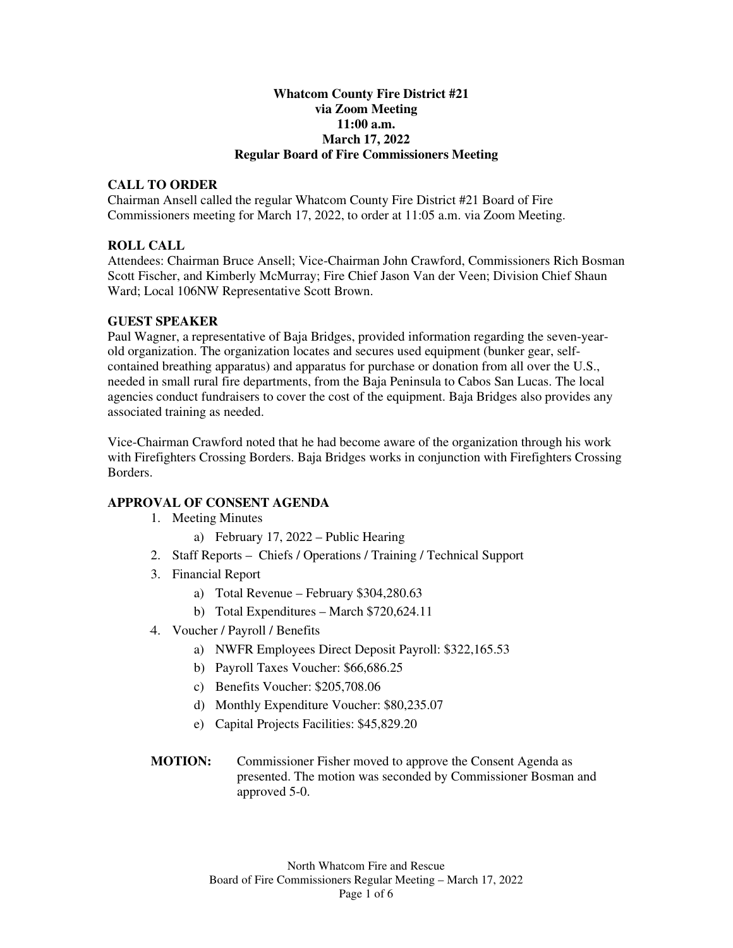## **Whatcom County Fire District #21 via Zoom Meeting 11:00 a.m. March 17, 2022 Regular Board of Fire Commissioners Meeting**

# **CALL TO ORDER**

Chairman Ansell called the regular Whatcom County Fire District #21 Board of Fire Commissioners meeting for March 17, 2022, to order at 11:05 a.m. via Zoom Meeting.

# **ROLL CALL**

Attendees: Chairman Bruce Ansell; Vice-Chairman John Crawford, Commissioners Rich Bosman Scott Fischer, and Kimberly McMurray; Fire Chief Jason Van der Veen; Division Chief Shaun Ward; Local 106NW Representative Scott Brown.

## **GUEST SPEAKER**

Paul Wagner, a representative of Baja Bridges, provided information regarding the seven-yearold organization. The organization locates and secures used equipment (bunker gear, selfcontained breathing apparatus) and apparatus for purchase or donation from all over the U.S., needed in small rural fire departments, from the Baja Peninsula to Cabos San Lucas. The local agencies conduct fundraisers to cover the cost of the equipment. Baja Bridges also provides any associated training as needed.

Vice-Chairman Crawford noted that he had become aware of the organization through his work with Firefighters Crossing Borders. Baja Bridges works in conjunction with Firefighters Crossing Borders.

## **APPROVAL OF CONSENT AGENDA**

- 1. Meeting Minutes
	- a) February 17, 2022 Public Hearing
- 2. Staff Reports Chiefs / Operations / Training / Technical Support
- 3. Financial Report
	- a) Total Revenue February \$304,280.63
	- b) Total Expenditures March \$720,624.11
- 4. Voucher / Payroll / Benefits
	- a) NWFR Employees Direct Deposit Payroll: \$322,165.53
	- b) Payroll Taxes Voucher: \$66,686.25
	- c) Benefits Voucher: \$205,708.06
	- d) Monthly Expenditure Voucher: \$80,235.07
	- e) Capital Projects Facilities: \$45,829.20
- **MOTION:** Commissioner Fisher moved to approve the Consent Agenda as presented. The motion was seconded by Commissioner Bosman and approved 5-0.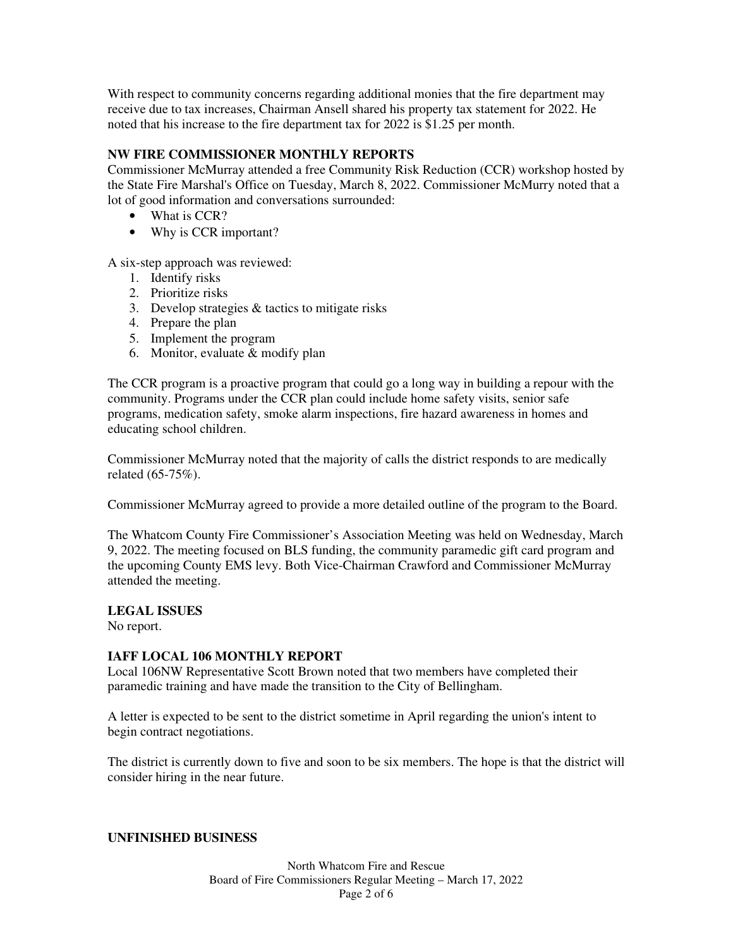With respect to community concerns regarding additional monies that the fire department may receive due to tax increases, Chairman Ansell shared his property tax statement for 2022. He noted that his increase to the fire department tax for 2022 is \$1.25 per month.

## **NW FIRE COMMISSIONER MONTHLY REPORTS**

Commissioner McMurray attended a free Community Risk Reduction (CCR) workshop hosted by the State Fire Marshal's Office on Tuesday, March 8, 2022. Commissioner McMurry noted that a lot of good information and conversations surrounded:

- What is CCR?
- Why is CCR important?

A six-step approach was reviewed:

- 1. Identify risks
- 2. Prioritize risks
- 3. Develop strategies & tactics to mitigate risks
- 4. Prepare the plan
- 5. Implement the program
- 6. Monitor, evaluate & modify plan

The CCR program is a proactive program that could go a long way in building a repour with the community. Programs under the CCR plan could include home safety visits, senior safe programs, medication safety, smoke alarm inspections, fire hazard awareness in homes and educating school children.

Commissioner McMurray noted that the majority of calls the district responds to are medically related (65-75%).

Commissioner McMurray agreed to provide a more detailed outline of the program to the Board.

The Whatcom County Fire Commissioner's Association Meeting was held on Wednesday, March 9, 2022. The meeting focused on BLS funding, the community paramedic gift card program and the upcoming County EMS levy. Both Vice-Chairman Crawford and Commissioner McMurray attended the meeting.

## **LEGAL ISSUES**

No report.

## **IAFF LOCAL 106 MONTHLY REPORT**

Local 106NW Representative Scott Brown noted that two members have completed their paramedic training and have made the transition to the City of Bellingham.

A letter is expected to be sent to the district sometime in April regarding the union's intent to begin contract negotiations.

The district is currently down to five and soon to be six members. The hope is that the district will consider hiring in the near future.

#### **UNFINISHED BUSINESS**

North Whatcom Fire and Rescue Board of Fire Commissioners Regular Meeting – March 17, 2022 Page 2 of 6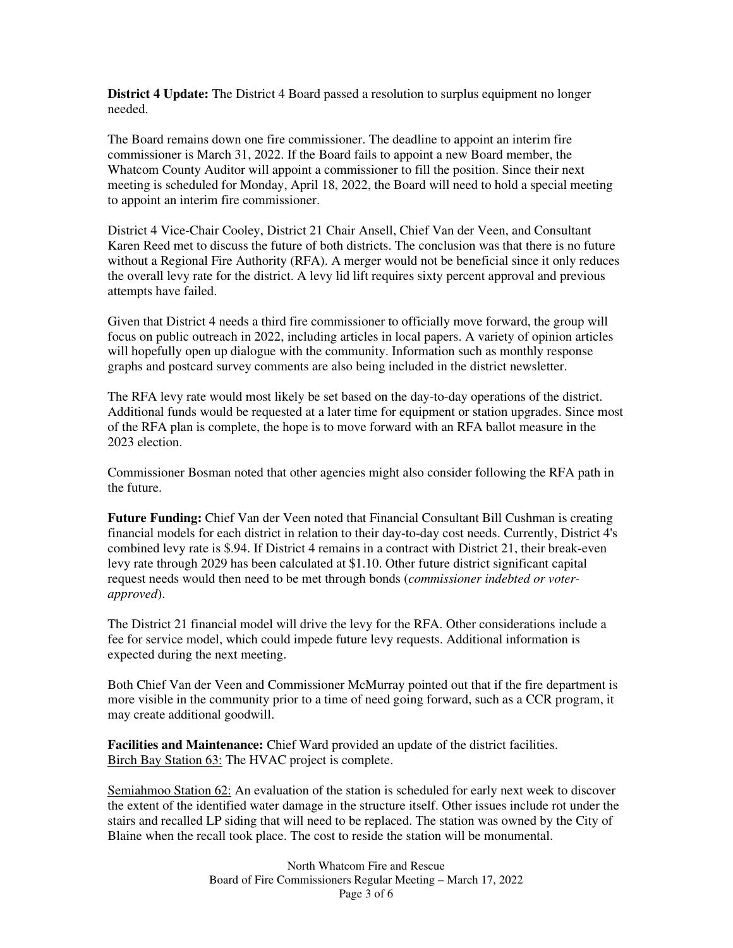**District 4 Update:** The District 4 Board passed a resolution to surplus equipment no longer needed.

The Board remains down one fire commissioner. The deadline to appoint an interim fire commissioner is March 31, 2022. If the Board fails to appoint a new Board member, the Whatcom County Auditor will appoint a commissioner to fill the position. Since their next meeting is scheduled for Monday, April 18, 2022, the Board will need to hold a special meeting to appoint an interim fire commissioner.

District 4 Vice-Chair Cooley, District 21 Chair Ansell, Chief Van der Veen, and Consultant Karen Reed met to discuss the future of both districts. The conclusion was that there is no future without a Regional Fire Authority (RFA). A merger would not be beneficial since it only reduces the overall levy rate for the district. A levy lid lift requires sixty percent approval and previous attempts have failed.

Given that District 4 needs a third fire commissioner to officially move forward, the group will focus on public outreach in 2022, including articles in local papers. A variety of opinion articles will hopefully open up dialogue with the community. Information such as monthly response graphs and postcard survey comments are also being included in the district newsletter.

The RFA levy rate would most likely be set based on the day-to-day operations of the district. Additional funds would be requested at a later time for equipment or station upgrades. Since most of the RFA plan is complete, the hope is to move forward with an RFA ballot measure in the 2023 election.

Commissioner Bosman noted that other agencies might also consider following the RFA path in the future.

**Future Funding:** Chief Van der Veen noted that Financial Consultant Bill Cushman is creating financial models for each district in relation to their day-to-day cost needs. Currently, District 4's combined levy rate is \$.94. If District 4 remains in a contract with District 21, their break-even levy rate through 2029 has been calculated at \$1.10. Other future district significant capital request needs would then need to be met through bonds (*commissioner indebted or voterapproved*).

The District 21 financial model will drive the levy for the RFA. Other considerations include a fee for service model, which could impede future levy requests. Additional information is expected during the next meeting.

Both Chief Van der Veen and Commissioner McMurray pointed out that if the fire department is more visible in the community prior to a time of need going forward, such as a CCR program, it may create additional goodwill.

**Facilities and Maintenance:** Chief Ward provided an update of the district facilities. Birch Bay Station 63: The HVAC project is complete.

Semiahmoo Station 62: An evaluation of the station is scheduled for early next week to discover the extent of the identified water damage in the structure itself. Other issues include rot under the stairs and recalled LP siding that will need to be replaced. The station was owned by the City of Blaine when the recall took place. The cost to reside the station will be monumental.

> North Whatcom Fire and Rescue Board of Fire Commissioners Regular Meeting – March 17, 2022 Page 3 of 6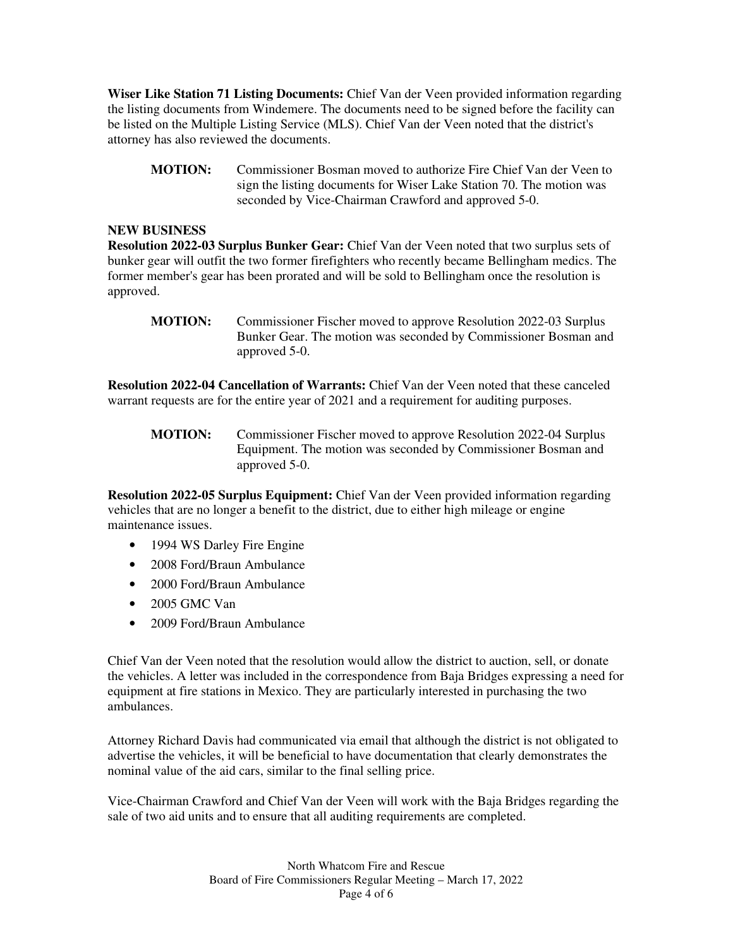**Wiser Like Station 71 Listing Documents:** Chief Van der Veen provided information regarding the listing documents from Windemere. The documents need to be signed before the facility can be listed on the Multiple Listing Service (MLS). Chief Van der Veen noted that the district's attorney has also reviewed the documents.

**MOTION:** Commissioner Bosman moved to authorize Fire Chief Van der Veen to sign the listing documents for Wiser Lake Station 70. The motion was seconded by Vice-Chairman Crawford and approved 5-0.

### **NEW BUSINESS**

**Resolution 2022-03 Surplus Bunker Gear:** Chief Van der Veen noted that two surplus sets of bunker gear will outfit the two former firefighters who recently became Bellingham medics. The former member's gear has been prorated and will be sold to Bellingham once the resolution is approved.

**Resolution 2022-04 Cancellation of Warrants:** Chief Van der Veen noted that these canceled warrant requests are for the entire year of 2021 and a requirement for auditing purposes.

**MOTION:** Commissioner Fischer moved to approve Resolution 2022-04 Surplus Equipment. The motion was seconded by Commissioner Bosman and approved 5-0.

**Resolution 2022-05 Surplus Equipment:** Chief Van der Veen provided information regarding vehicles that are no longer a benefit to the district, due to either high mileage or engine maintenance issues.

- 1994 WS Darley Fire Engine
- 2008 Ford/Braun Ambulance
- 2000 Ford/Braun Ambulance
- 2005 GMC Van
- 2009 Ford/Braun Ambulance

Chief Van der Veen noted that the resolution would allow the district to auction, sell, or donate the vehicles. A letter was included in the correspondence from Baja Bridges expressing a need for equipment at fire stations in Mexico. They are particularly interested in purchasing the two ambulances.

Attorney Richard Davis had communicated via email that although the district is not obligated to advertise the vehicles, it will be beneficial to have documentation that clearly demonstrates the nominal value of the aid cars, similar to the final selling price.

Vice-Chairman Crawford and Chief Van der Veen will work with the Baja Bridges regarding the sale of two aid units and to ensure that all auditing requirements are completed.

**MOTION:** Commissioner Fischer moved to approve Resolution 2022-03 Surplus Bunker Gear. The motion was seconded by Commissioner Bosman and approved 5-0.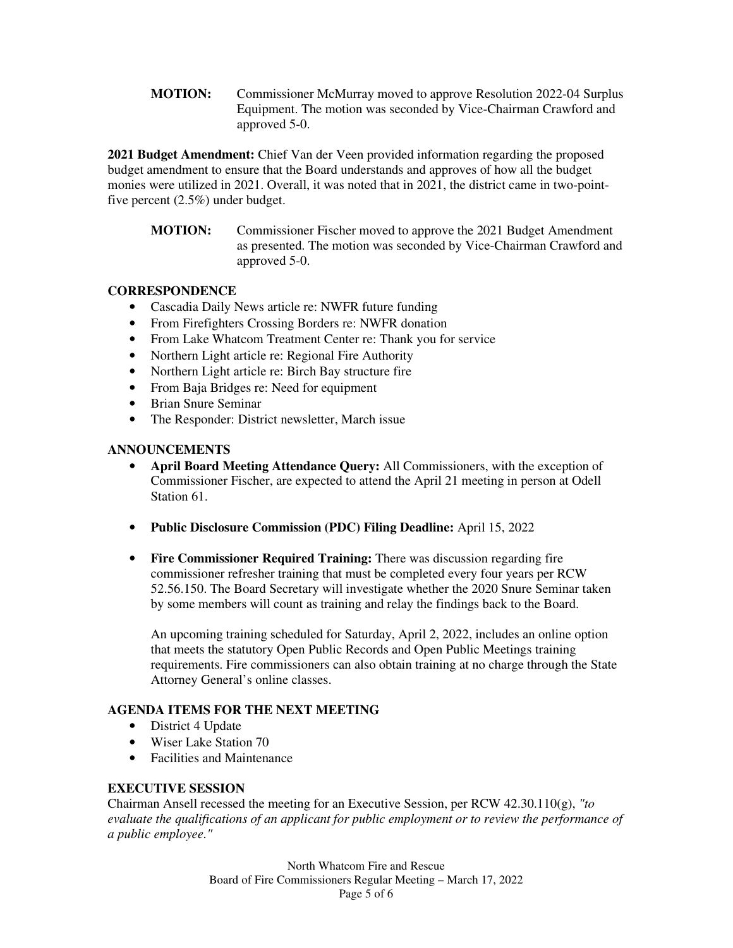**MOTION:** Commissioner McMurray moved to approve Resolution 2022-04 Surplus Equipment. The motion was seconded by Vice-Chairman Crawford and approved 5-0.

**2021 Budget Amendment:** Chief Van der Veen provided information regarding the proposed budget amendment to ensure that the Board understands and approves of how all the budget monies were utilized in 2021. Overall, it was noted that in 2021, the district came in two-pointfive percent (2.5%) under budget.

**MOTION:** Commissioner Fischer moved to approve the 2021 Budget Amendment as presented. The motion was seconded by Vice-Chairman Crawford and approved 5-0.

# **CORRESPONDENCE**

- Cascadia Daily News article re: NWFR future funding
- From Firefighters Crossing Borders re: NWFR donation
- From Lake Whatcom Treatment Center re: Thank you for service
- Northern Light article re: Regional Fire Authority
- Northern Light article re: Birch Bay structure fire
- From Baja Bridges re: Need for equipment
- Brian Snure Seminar
- The Responder: District newsletter, March issue

## **ANNOUNCEMENTS**

- **April Board Meeting Attendance Query:** All Commissioners, with the exception of Commissioner Fischer, are expected to attend the April 21 meeting in person at Odell Station 61.
- **Public Disclosure Commission (PDC) Filing Deadline:** April 15, 2022
- **Fire Commissioner Required Training:** There was discussion regarding fire commissioner refresher training that must be completed every four years per RCW 52.56.150. The Board Secretary will investigate whether the 2020 Snure Seminar taken by some members will count as training and relay the findings back to the Board.

An upcoming training scheduled for Saturday, April 2, 2022, includes an online option that meets the statutory Open Public Records and Open Public Meetings training requirements. Fire commissioners can also obtain training at no charge through the State Attorney General's online classes.

# **AGENDA ITEMS FOR THE NEXT MEETING**

- District 4 Update
- Wiser Lake Station 70
- Facilities and Maintenance

## **EXECUTIVE SESSION**

Chairman Ansell recessed the meeting for an Executive Session, per RCW 42.30.110(g), *"to evaluate the qualifications of an applicant for public employment or to review the performance of a public employee."* 

> North Whatcom Fire and Rescue Board of Fire Commissioners Regular Meeting – March 17, 2022 Page 5 of 6